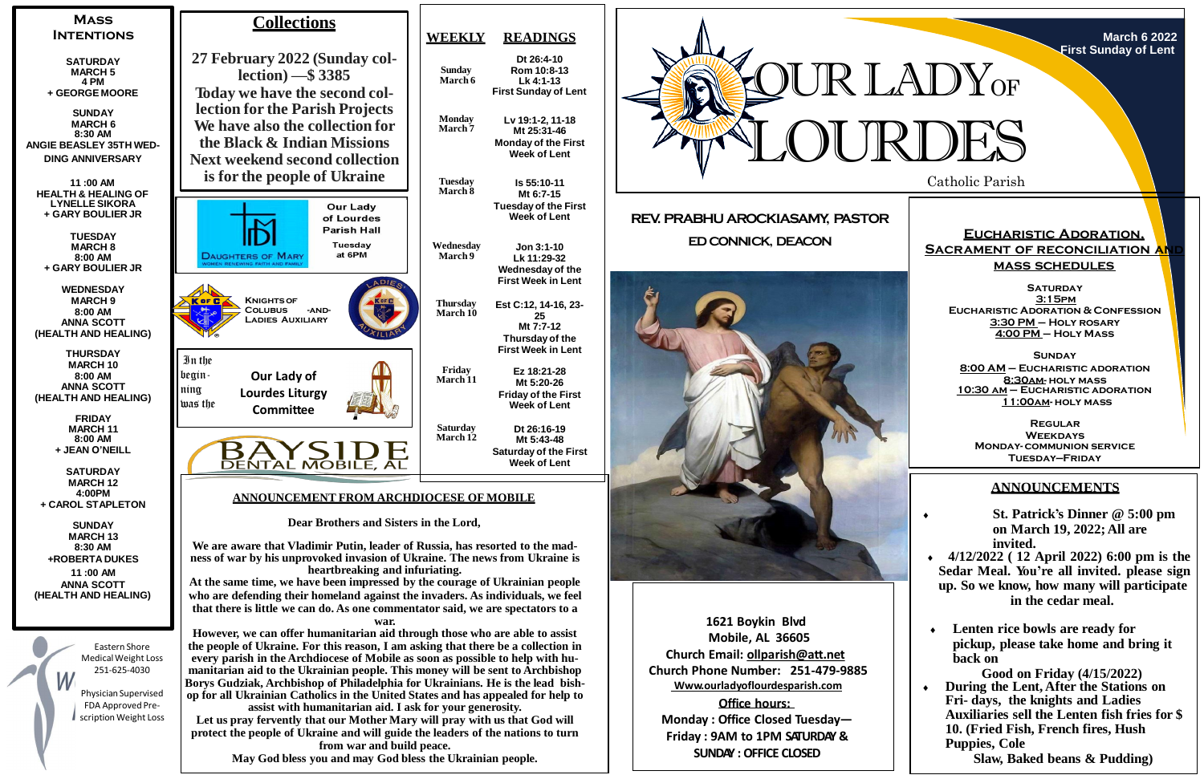

**March 6 2022 First Sunday of Lent**

# **REV. PRABHU AROCKIASAMY, PASTOR ED CONNICK, DEACON**





**1621 Boykin Blvd Mobile, AL 36605 Church Email: [ollparish@att.net](mailto:ollparish@att.net) Church Phone Number: 251-479-9885 Www.ourladyoflourdesparish.com**

**Office hours: Monday : Office Closed Tuesday— Friday : 9AM to 1PM SATURDAY & SUNDAY : OFFICE CLOSED**

**Let us pray fervently that our Mother Mary will pray with us that God will protect the people of Ukraine and will guide the leaders of the nations to turn** 

**from war and build peace. May God bless you and may God bless the Ukrainian people.**

## **ANNOUNCEMENTS**

 **St. Patrick's Dinner @ 5:00 pm on March 19, 2022; All are invited.**

- **4/12/2022 ( 12 April 2022) 6:00 pm is the Sedar Meal. You're all invited. please sign up. So we know, how many will participate in the cedar meal.**
- **Lenten rice bowls are ready for pickup, please take home and bring it back on**

**Good on Friday (4/15/2022) During the Lent, After the Stations on Fri- days, the knights and Ladies Auxiliaries sell the Lenten fish fries for \$ 10. (Fried Fish, French fires, Hush Puppies, Cole**

**Slaw, Baked beans & Pudding)**

## **Eucharistic Adoration, SACRAMENT OF RECONCILIATION AN mass schedules**

**Saturday 3:15pm Eucharistic Adoration & Confession 3:30 PM – Holy rosary 4:00 PM – Holy Mass**

**Sunday 8:00 AM – Eucharistic adoration 8:30am- holy mass 10:30 am – Eucharistic adoration 11:00am- holy mass**

**Regular Weekdays Monday- communion service Tuesday—Friday**